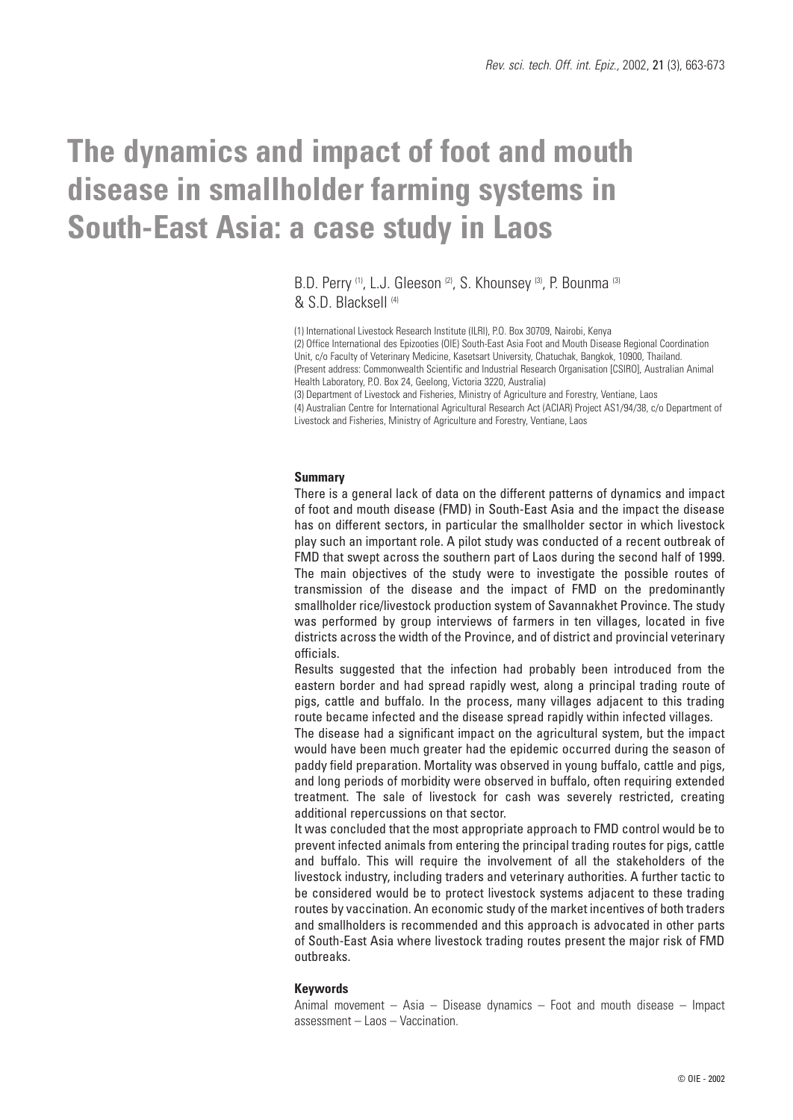# **The dynamics and impact of foot and mouth disease in smallholder farming systems in South-East Asia: a case study in Laos**

### B.D. Perry <sup>(1)</sup>, L.J. Gleeson <sup>(2)</sup>, S. Khounsey <sup>(3)</sup>, P. Bounma<sup>(3)</sup> & S.D. Blacksell (4)

(1) International Livestock Research Institute (ILRI), P.O. Box 30709, Nairobi, Kenya (2) Office International des Epizooties (OIE) South-East Asia Foot and Mouth Disease Regional Coordination Unit, c/o Faculty of Veterinary Medicine, Kasetsart University, Chatuchak, Bangkok, 10900, Thailand. (Present address: Commonwealth Scientific and Industrial Research Organisation [CSIRO], Australian Animal Health Laboratory, P.O. Box 24, Geelong, Victoria 3220, Australia) (3) Department of Livestock and Fisheries, Ministry of Agriculture and Forestry, Ventiane, Laos

(4) Australian Centre for International Agricultural Research Act (ACIAR) Project AS1/94/38, c/o Department of Livestock and Fisheries, Ministry of Agriculture and Forestry, Ventiane, Laos

#### **Summary**

There is a general lack of data on the different patterns of dynamics and impact of foot and mouth disease (FMD) in South-East Asia and the impact the disease has on different sectors, in particular the smallholder sector in which livestock play such an important role. A pilot study was conducted of a recent outbreak of FMD that swept across the southern part of Laos during the second half of 1999. The main objectives of the study were to investigate the possible routes of transmission of the disease and the impact of FMD on the predominantly smallholder rice/livestock production system of Savannakhet Province. The study was performed by group interviews of farmers in ten villages, located in five districts across the width of the Province, and of district and provincial veterinary officials.

Results suggested that the infection had probably been introduced from the eastern border and had spread rapidly west, along a principal trading route of pigs, cattle and buffalo. In the process, many villages adjacent to this trading route became infected and the disease spread rapidly within infected villages.

The disease had a significant impact on the agricultural system, but the impact would have been much greater had the epidemic occurred during the season of paddy field preparation. Mortality was observed in young buffalo, cattle and pigs, and long periods of morbidity were observed in buffalo, often requiring extended treatment. The sale of livestock for cash was severely restricted, creating additional repercussions on that sector.

It was concluded that the most appropriate approach to FMD control would be to prevent infected animals from entering the principal trading routes for pigs, cattle and buffalo. This will require the involvement of all the stakeholders of the livestock industry, including traders and veterinary authorities. A further tactic to be considered would be to protect livestock systems adjacent to these trading routes by vaccination. An economic study of the market incentives of both traders and smallholders is recommended and this approach is advocated in other parts of South-East Asia where livestock trading routes present the major risk of FMD outbreaks.

### **Keywords**

Animal movement – Asia – Disease dynamics – Foot and mouth disease – Impact assessment – Laos – Vaccination.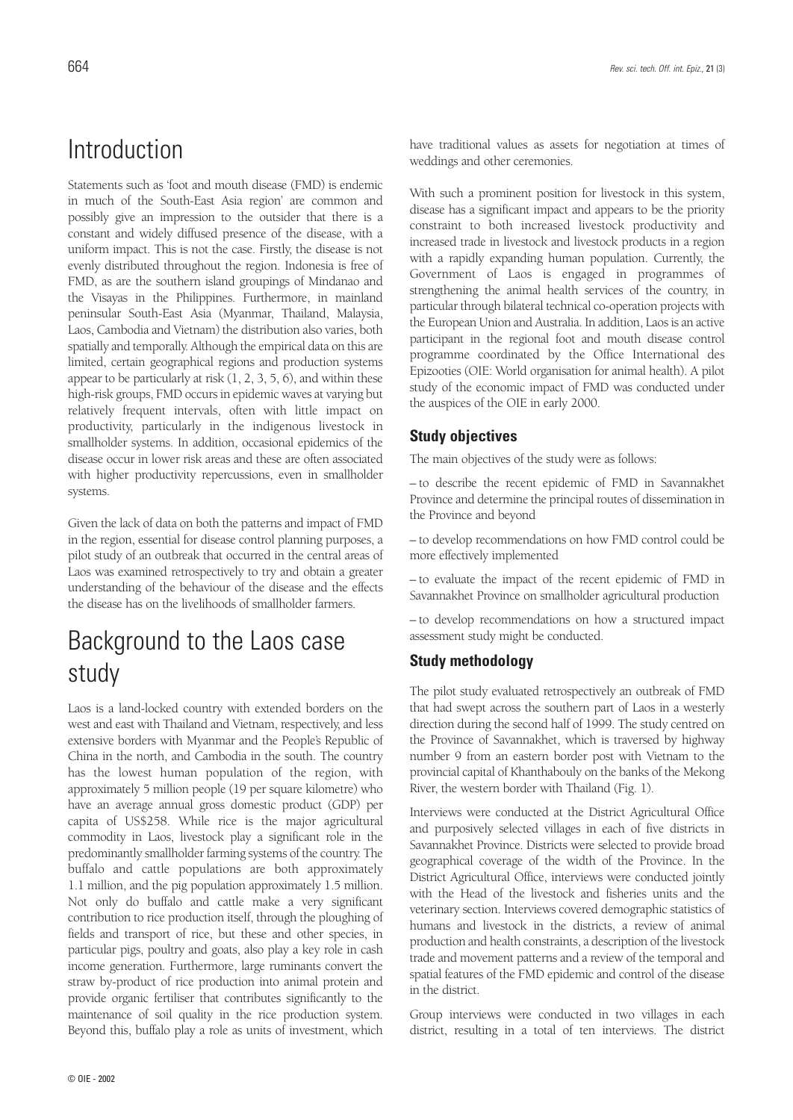# Introduction

Statements such as 'foot and mouth disease (FMD) is endemic in much of the South-East Asia region' are common and possibly give an impression to the outsider that there is a constant and widely diffused presence of the disease, with a uniform impact. This is not the case. Firstly, the disease is not evenly distributed throughout the region. Indonesia is free of FMD, as are the southern island groupings of Mindanao and the Visayas in the Philippines. Furthermore, in mainland peninsular South-East Asia (Myanmar, Thailand, Malaysia, Laos, Cambodia and Vietnam) the distribution also varies, both spatially and temporally. Although the empirical data on this are limited, certain geographical regions and production systems appear to be particularly at risk  $(1, 2, 3, 5, 6)$ , and within these high-risk groups, FMD occurs in epidemic waves at varying but relatively frequent intervals, often with little impact on productivity, particularly in the indigenous livestock in smallholder systems. In addition, occasional epidemics of the disease occur in lower risk areas and these are often associated with higher productivity repercussions, even in smallholder systems.

Given the lack of data on both the patterns and impact of FMD in the region, essential for disease control planning purposes, a pilot study of an outbreak that occurred in the central areas of Laos was examined retrospectively to try and obtain a greater understanding of the behaviour of the disease and the effects the disease has on the livelihoods of smallholder farmers.

# Background to the Laos case study

Laos is a land-locked country with extended borders on the west and east with Thailand and Vietnam, respectively, and less extensive borders with Myanmar and the People's Republic of China in the north, and Cambodia in the south. The country has the lowest human population of the region, with approximately 5 million people (19 per square kilometre) who have an average annual gross domestic product (GDP) per capita of US\$258. While rice is the major agricultural commodity in Laos, livestock play a significant role in the predominantly smallholder farming systems of the country. The buffalo and cattle populations are both approximately 1.1 million, and the pig population approximately 1.5 million. Not only do buffalo and cattle make a very significant contribution to rice production itself, through the ploughing of fields and transport of rice, but these and other species, in particular pigs, poultry and goats, also play a key role in cash income generation. Furthermore, large ruminants convert the straw by-product of rice production into animal protein and provide organic fertiliser that contributes significantly to the maintenance of soil quality in the rice production system. Beyond this, buffalo play a role as units of investment, which

have traditional values as assets for negotiation at times of weddings and other ceremonies.

With such a prominent position for livestock in this system, disease has a significant impact and appears to be the priority constraint to both increased livestock productivity and increased trade in livestock and livestock products in a region with a rapidly expanding human population. Currently, the Government of Laos is engaged in programmes of strengthening the animal health services of the country, in particular through bilateral technical co-operation projects with the European Union and Australia. In addition, Laos is an active participant in the regional foot and mouth disease control programme coordinated by the Office International des Epizooties (OIE: World organisation for animal health). A pilot study of the economic impact of FMD was conducted under the auspices of the OIE in early 2000.

### **Study objectives**

The main objectives of the study were as follows:

– to describe the recent epidemic of FMD in Savannakhet Province and determine the principal routes of dissemination in the Province and beyond

– to develop recommendations on how FMD control could be more effectively implemented

– to evaluate the impact of the recent epidemic of FMD in Savannakhet Province on smallholder agricultural production

– to develop recommendations on how a structured impact assessment study might be conducted.

### **Study methodology**

The pilot study evaluated retrospectively an outbreak of FMD that had swept across the southern part of Laos in a westerly direction during the second half of 1999. The study centred on the Province of Savannakhet, which is traversed by highway number 9 from an eastern border post with Vietnam to the provincial capital of Khanthabouly on the banks of the Mekong River, the western border with Thailand (Fig. 1).

Interviews were conducted at the District Agricultural Office and purposively selected villages in each of five districts in Savannakhet Province. Districts were selected to provide broad geographical coverage of the width of the Province. In the District Agricultural Office, interviews were conducted jointly with the Head of the livestock and fisheries units and the veterinary section. Interviews covered demographic statistics of humans and livestock in the districts, a review of animal production and health constraints, a description of the livestock trade and movement patterns and a review of the temporal and spatial features of the FMD epidemic and control of the disease in the district.

Group interviews were conducted in two villages in each district, resulting in a total of ten interviews. The district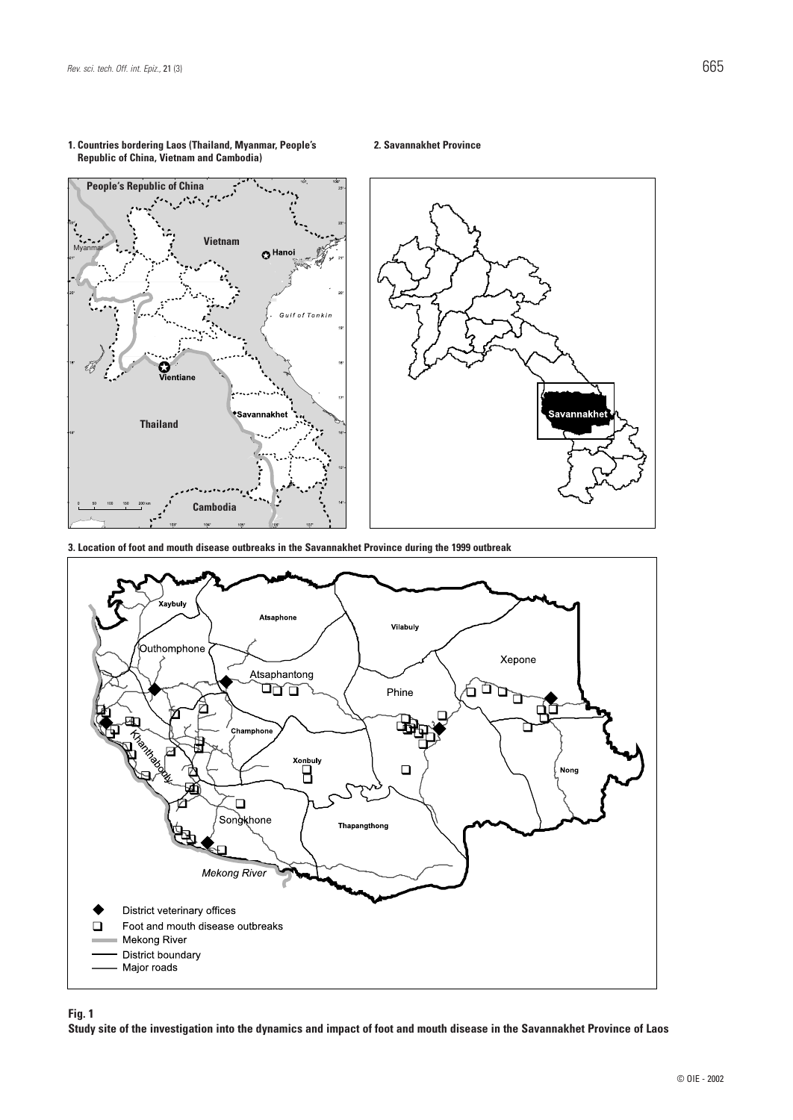

#### **1. Countries bordering Laos (Thailand, Myanmar, People's Republic of China, Vietnam and Cambodia)**

**2. Savannakhet Province**



**Fig. 1**

**Study site of the investigation into the dynamics and impact of foot and mouth disease in the Savannakhet Province of Laos**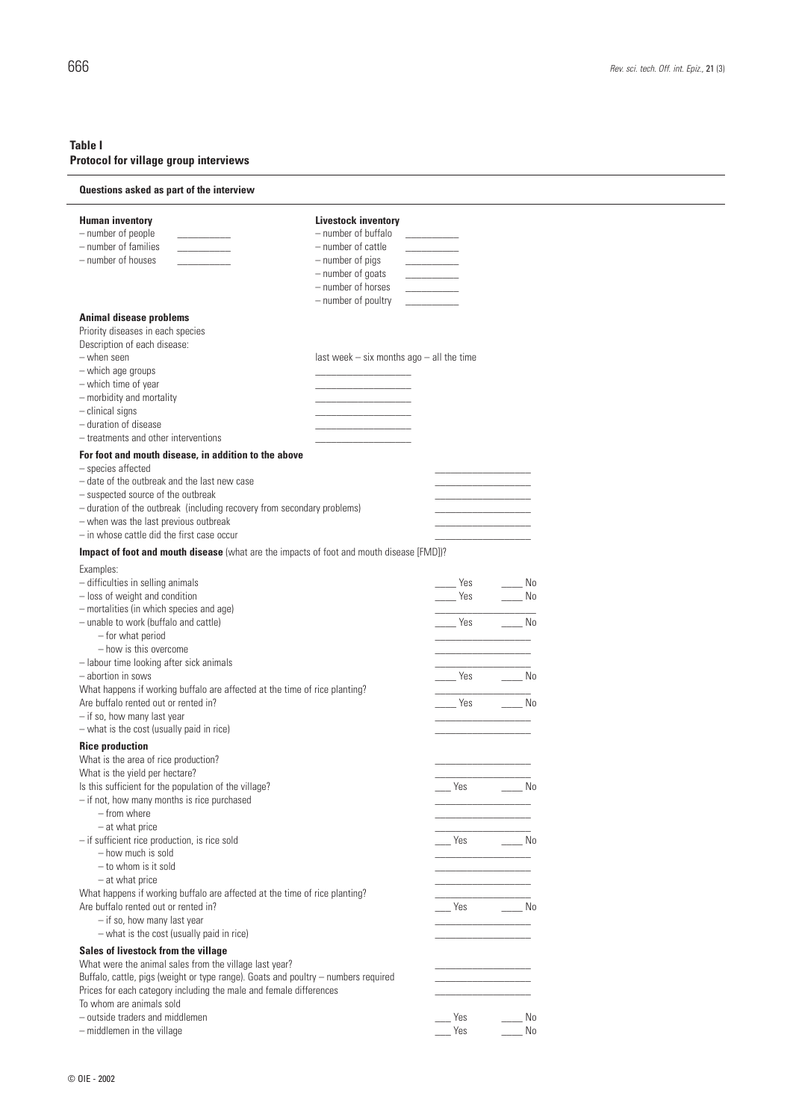### **Table I Protocol for village group interviews**

### **Questions asked as part of the interview**

| <b>Human inventory</b>                                                                                             | <b>Livestock inventory</b>                     |
|--------------------------------------------------------------------------------------------------------------------|------------------------------------------------|
| - number of people                                                                                                 | - number of buffalo                            |
| - number of families                                                                                               | - number of cattle<br>$\overline{\phantom{a}}$ |
| - number of houses                                                                                                 | - number of pigs                               |
|                                                                                                                    | - number of goats<br>- number of horses        |
|                                                                                                                    | - number of poultry                            |
|                                                                                                                    |                                                |
| <b>Animal disease problems</b>                                                                                     |                                                |
| Priority diseases in each species<br>Description of each disease:                                                  |                                                |
| - when seen                                                                                                        | last week $-$ six months ago $-$ all the time  |
| - which age groups                                                                                                 |                                                |
| - which time of year                                                                                               |                                                |
| - morbidity and mortality                                                                                          |                                                |
| $-$ clinical signs                                                                                                 |                                                |
| - duration of disease                                                                                              |                                                |
| - treatments and other interventions                                                                               |                                                |
| For foot and mouth disease, in addition to the above                                                               |                                                |
| - species affected                                                                                                 |                                                |
| - date of the outbreak and the last new case                                                                       |                                                |
| - suspected source of the outbreak<br>- duration of the outbreak (including recovery from secondary problems)      |                                                |
| - when was the last previous outbreak                                                                              |                                                |
| - in whose cattle did the first case occur                                                                         |                                                |
| Impact of foot and mouth disease (what are the impacts of foot and mouth disease [FMD])?                           |                                                |
|                                                                                                                    |                                                |
| Examples:                                                                                                          |                                                |
| - difficulties in selling animals<br>- loss of weight and condition                                                | ___ No<br>Yes<br>Yes<br>No                     |
| - mortalities (in which species and age)                                                                           |                                                |
| - unable to work (buffalo and cattle)                                                                              | $\overline{\phantom{a}}$ No<br>Yes             |
| - for what period                                                                                                  |                                                |
| - how is this overcome                                                                                             |                                                |
| - labour time looking after sick animals                                                                           |                                                |
| - abortion in sows                                                                                                 | No<br>Yes                                      |
| What happens if working buffalo are affected at the time of rice planting?                                         |                                                |
| Are buffalo rented out or rented in?                                                                               | Yes<br>Mo                                      |
| - if so, how many last year                                                                                        |                                                |
| - what is the cost (usually paid in rice)                                                                          |                                                |
| <b>Rice production</b>                                                                                             |                                                |
| What is the area of rice production?                                                                               |                                                |
| What is the yield per hectare?<br>Is this sufficient for the population of the village?                            | No.<br>Yes                                     |
| - if not, how many months is rice purchased                                                                        |                                                |
| - from where                                                                                                       |                                                |
| $-$ at what price                                                                                                  |                                                |
| - if sufficient rice production, is rice sold                                                                      | Yes<br>a No                                    |
| - how much is sold                                                                                                 |                                                |
| $-$ to whom is it sold                                                                                             |                                                |
| - at what price                                                                                                    |                                                |
| What happens if working buffalo are affected at the time of rice planting?<br>Are buffalo rented out or rented in? | Yes<br>n No                                    |
| - if so, how many last year                                                                                        |                                                |
| - what is the cost (usually paid in rice)                                                                          |                                                |
| Sales of livestock from the village                                                                                |                                                |
| What were the animal sales from the village last year?                                                             |                                                |
| Buffalo, cattle, pigs (weight or type range). Goats and poultry - numbers required                                 |                                                |
| Prices for each category including the male and female differences                                                 |                                                |
| To whom are animals sold                                                                                           |                                                |
| - outside traders and middlemen                                                                                    | Yes<br>No.                                     |
| - middlemen in the village                                                                                         | Yes<br>No                                      |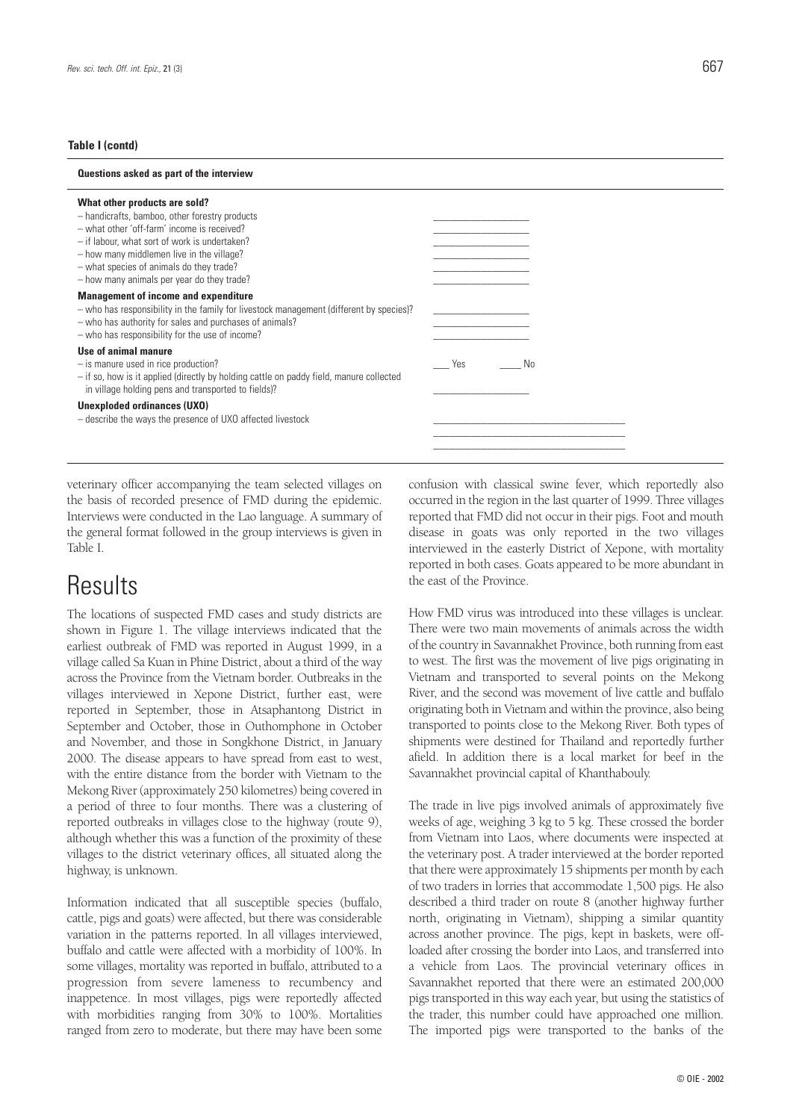#### **Table I (contd)**

| Questions asked as part of the interview                                                                                                                                                                                                                                                                               |     |    |  |
|------------------------------------------------------------------------------------------------------------------------------------------------------------------------------------------------------------------------------------------------------------------------------------------------------------------------|-----|----|--|
| What other products are sold?<br>- handicrafts, bamboo, other forestry products<br>- what other 'off-farm' income is received?<br>- if labour, what sort of work is undertaken?<br>- how many middlemen live in the village?<br>- what species of animals do they trade?<br>- how many animals per year do they trade? |     |    |  |
| <b>Management of income and expenditure</b><br>- who has responsibility in the family for livestock management (different by species)?<br>- who has authority for sales and purchases of animals?<br>- who has responsibility for the use of income?                                                                   |     |    |  |
| Use of animal manure<br>$-$ is manure used in rice production?<br>- if so, how is it applied (directly by holding cattle on paddy field, manure collected<br>in village holding pens and transported to fields)?                                                                                                       | Yes | No |  |
| Unexploded ordinances (UXO)<br>- describe the ways the presence of UXO affected livestock                                                                                                                                                                                                                              |     |    |  |

veterinary officer accompanying the team selected villages on the basis of recorded presence of FMD during the epidemic. Interviews were conducted in the Lao language. A summary of the general format followed in the group interviews is given in Table I.

### Results

The locations of suspected FMD cases and study districts are shown in Figure 1. The village interviews indicated that the earliest outbreak of FMD was reported in August 1999, in a village called Sa Kuan in Phine District, about a third of the way across the Province from the Vietnam border. Outbreaks in the villages interviewed in Xepone District, further east, were reported in September, those in Atsaphantong District in September and October, those in Outhomphone in October and November, and those in Songkhone District, in January 2000. The disease appears to have spread from east to west, with the entire distance from the border with Vietnam to the Mekong River (approximately 250 kilometres) being covered in a period of three to four months. There was a clustering of reported outbreaks in villages close to the highway (route 9), although whether this was a function of the proximity of these villages to the district veterinary offices, all situated along the highway, is unknown.

Information indicated that all susceptible species (buffalo, cattle, pigs and goats) were affected, but there was considerable variation in the patterns reported. In all villages interviewed, buffalo and cattle were affected with a morbidity of 100%. In some villages, mortality was reported in buffalo, attributed to a progression from severe lameness to recumbency and inappetence. In most villages, pigs were reportedly affected with morbidities ranging from 30% to 100%. Mortalities ranged from zero to moderate, but there may have been some confusion with classical swine fever, which reportedly also occurred in the region in the last quarter of 1999. Three villages reported that FMD did not occur in their pigs. Foot and mouth disease in goats was only reported in the two villages interviewed in the easterly District of Xepone, with mortality reported in both cases. Goats appeared to be more abundant in the east of the Province.

How FMD virus was introduced into these villages is unclear. There were two main movements of animals across the width of the country in Savannakhet Province, both running from east to west. The first was the movement of live pigs originating in Vietnam and transported to several points on the Mekong River, and the second was movement of live cattle and buffalo originating both in Vietnam and within the province, also being transported to points close to the Mekong River. Both types of shipments were destined for Thailand and reportedly further afield. In addition there is a local market for beef in the Savannakhet provincial capital of Khanthabouly.

The trade in live pigs involved animals of approximately five weeks of age, weighing 3 kg to 5 kg. These crossed the border from Vietnam into Laos, where documents were inspected at the veterinary post. A trader interviewed at the border reported that there were approximately 15 shipments per month by each of two traders in lorries that accommodate 1,500 pigs. He also described a third trader on route 8 (another highway further north, originating in Vietnam), shipping a similar quantity across another province. The pigs, kept in baskets, were offloaded after crossing the border into Laos, and transferred into a vehicle from Laos. The provincial veterinary offices in Savannakhet reported that there were an estimated 200,000 pigs transported in this way each year, but using the statistics of the trader, this number could have approached one million. The imported pigs were transported to the banks of the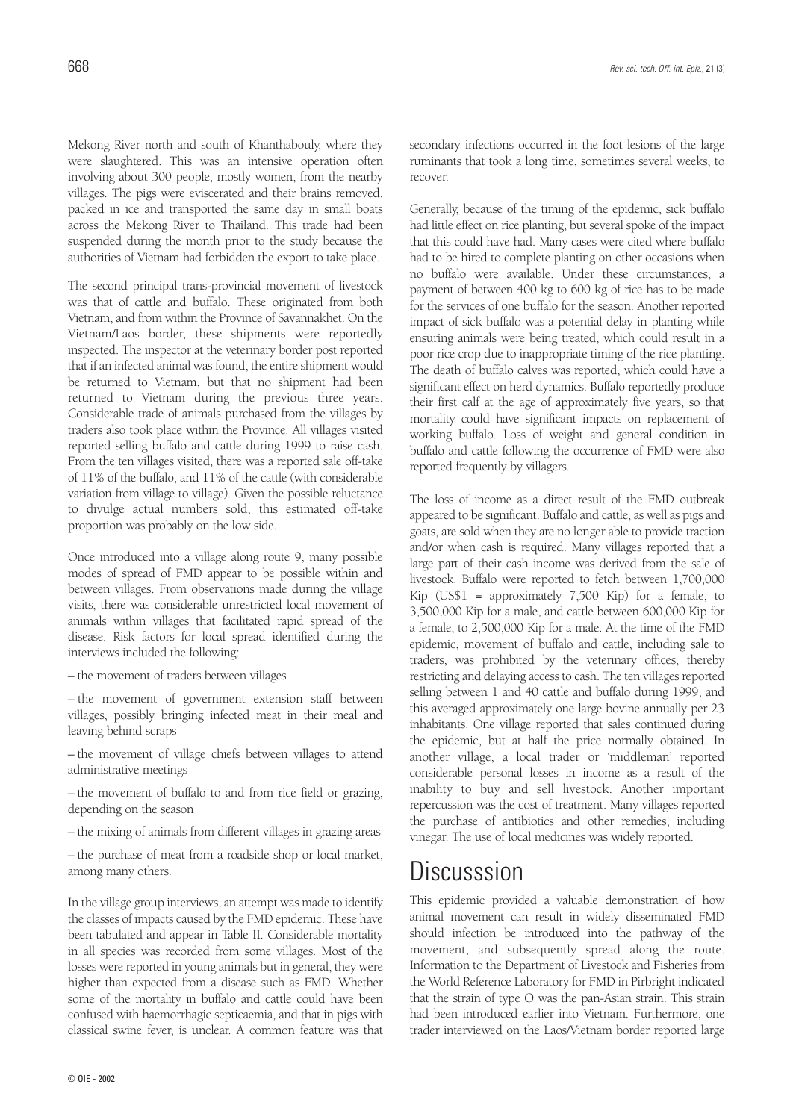Mekong River north and south of Khanthabouly, where they were slaughtered. This was an intensive operation often involving about 300 people, mostly women, from the nearby villages. The pigs were eviscerated and their brains removed, packed in ice and transported the same day in small boats across the Mekong River to Thailand. This trade had been suspended during the month prior to the study because the authorities of Vietnam had forbidden the export to take place.

The second principal trans-provincial movement of livestock was that of cattle and buffalo. These originated from both Vietnam, and from within the Province of Savannakhet. On the Vietnam/Laos border, these shipments were reportedly inspected. The inspector at the veterinary border post reported that if an infected animal was found, the entire shipment would be returned to Vietnam, but that no shipment had been returned to Vietnam during the previous three years. Considerable trade of animals purchased from the villages by traders also took place within the Province. All villages visited reported selling buffalo and cattle during 1999 to raise cash. From the ten villages visited, there was a reported sale off-take of 11% of the buffalo, and 11% of the cattle (with considerable variation from village to village). Given the possible reluctance to divulge actual numbers sold, this estimated off-take proportion was probably on the low side.

Once introduced into a village along route 9, many possible modes of spread of FMD appear to be possible within and between villages. From observations made during the village visits, there was considerable unrestricted local movement of animals within villages that facilitated rapid spread of the disease. Risk factors for local spread identified during the interviews included the following:

- the movement of traders between villages
- the movement of government extension staff between villages, possibly bringing infected meat in their meal and leaving behind scraps
- the movement of village chiefs between villages to attend administrative meetings
- the movement of buffalo to and from rice field or grazing, depending on the season
- the mixing of animals from different villages in grazing areas
- the purchase of meat from a roadside shop or local market, among many others.

In the village group interviews, an attempt was made to identify the classes of impacts caused by the FMD epidemic. These have been tabulated and appear in Table II. Considerable mortality in all species was recorded from some villages. Most of the losses were reported in young animals but in general, they were higher than expected from a disease such as FMD. Whether some of the mortality in buffalo and cattle could have been confused with haemorrhagic septicaemia, and that in pigs with classical swine fever, is unclear. A common feature was that

secondary infections occurred in the foot lesions of the large ruminants that took a long time, sometimes several weeks, to recover.

Generally, because of the timing of the epidemic, sick buffalo had little effect on rice planting, but several spoke of the impact that this could have had. Many cases were cited where buffalo had to be hired to complete planting on other occasions when no buffalo were available. Under these circumstances, a payment of between 400 kg to 600 kg of rice has to be made for the services of one buffalo for the season. Another reported impact of sick buffalo was a potential delay in planting while ensuring animals were being treated, which could result in a poor rice crop due to inappropriate timing of the rice planting. The death of buffalo calves was reported, which could have a significant effect on herd dynamics. Buffalo reportedly produce their first calf at the age of approximately five years, so that mortality could have significant impacts on replacement of working buffalo. Loss of weight and general condition in buffalo and cattle following the occurrence of FMD were also reported frequently by villagers.

The loss of income as a direct result of the FMD outbreak appeared to be significant. Buffalo and cattle, as well as pigs and goats, are sold when they are no longer able to provide traction and/or when cash is required. Many villages reported that a large part of their cash income was derived from the sale of livestock. Buffalo were reported to fetch between 1,700,000 Kip (US\$1 = approximately 7,500 Kip) for a female, to 3,500,000 Kip for a male, and cattle between 600,000 Kip for a female, to 2,500,000 Kip for a male. At the time of the FMD epidemic, movement of buffalo and cattle, including sale to traders, was prohibited by the veterinary offices, thereby restricting and delaying access to cash. The ten villages reported selling between 1 and 40 cattle and buffalo during 1999, and this averaged approximately one large bovine annually per 23 inhabitants. One village reported that sales continued during the epidemic, but at half the price normally obtained. In another village, a local trader or 'middleman' reported considerable personal losses in income as a result of the inability to buy and sell livestock. Another important repercussion was the cost of treatment. Many villages reported the purchase of antibiotics and other remedies, including vinegar. The use of local medicines was widely reported.

### Discusssion

This epidemic provided a valuable demonstration of how animal movement can result in widely disseminated FMD should infection be introduced into the pathway of the movement, and subsequently spread along the route. Information to the Department of Livestock and Fisheries from the World Reference Laboratory for FMD in Pirbright indicated that the strain of type O was the pan-Asian strain. This strain had been introduced earlier into Vietnam. Furthermore, one trader interviewed on the Laos/Vietnam border reported large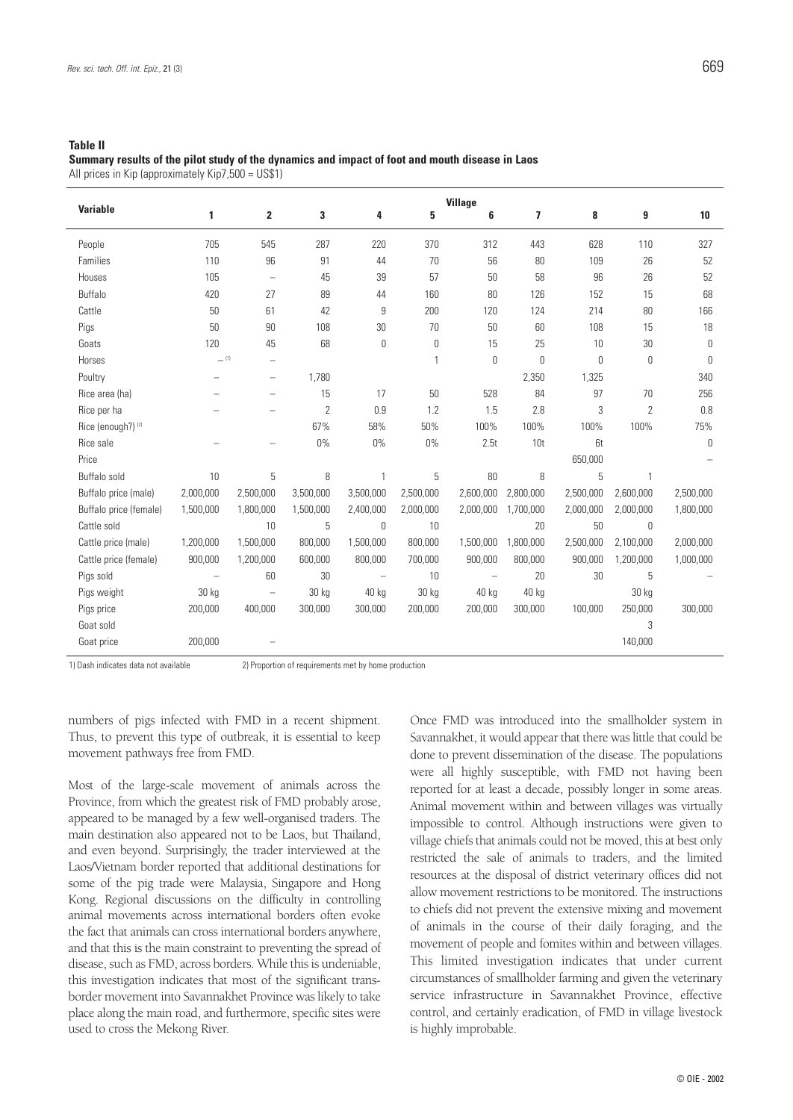#### **Table II**

**Summary results of the pilot study of the dynamics and impact of foot and mouth disease in Laos** All prices in Kip (approximately Kip7,500 = US\$1)

| <b>Variable</b>        | <b>Village</b> |                                 |                |                          |           |           |                 |           |                |           |
|------------------------|----------------|---------------------------------|----------------|--------------------------|-----------|-----------|-----------------|-----------|----------------|-----------|
|                        | 1              | $\overline{\mathbf{2}}$         | 3              | 4                        | 5         | 6         | 7               | 8         | 9              | 10        |
| People                 | 705            | 545                             | 287            | 220                      | 370       | 312       | 443             | 628       | 110            | 327       |
| Families               | 110            | 96                              | 91             | 44                       | 70        | 56        | 80              | 109       | 26             | 52        |
| Houses                 | 105            | $\overline{\phantom{0}}$        | 45             | 39                       | 57        | 50        | 58              | 96        | 26             | 52        |
| Buffalo                | 420            | 27                              | 89             | 44                       | 160       | 80        | 126             | 152       | 15             | 68        |
| Cattle                 | 50             | 61                              | 42             | 9                        | 200       | 120       | 124             | 214       | 80             | 166       |
| Pigs                   | 50             | 90                              | 108            | 30                       | 70        | 50        | 60              | 108       | 15             | 18        |
| Goats                  | 120            | 45                              | 68             | 0                        | 0         | 15        | 25              | 10        | 30             | $\theta$  |
| Horses                 | $=$ (1)        | -                               |                |                          | 1         | 0         | $\mathbf{0}$    | 0         | 0              | $\Omega$  |
| Poultry                |                | $\overbrace{\phantom{1232211}}$ | 1,780          |                          |           |           | 2,350           | 1,325     |                | 340       |
| Rice area (ha)         |                | $\overline{\phantom{0}}$        | 15             | 17                       | 50        | 528       | 84              | 97        | 70             | 256       |
| Rice per ha            |                | $\overline{\phantom{0}}$        | $\overline{2}$ | 0.9                      | 1.2       | 1.5       | 2.8             | 3         | $\overline{2}$ | 0.8       |
| Rice (enough?) (2)     |                |                                 | 67%            | 58%                      | 50%       | 100%      | 100%            | 100%      | 100%           | 75%       |
| Rice sale              |                | $\overline{\phantom{0}}$        | $0\%$          | 0%                       | $0\%$     | 2.5t      | 10 <sub>t</sub> | 6t        |                | $\theta$  |
| Price                  |                |                                 |                |                          |           |           |                 | 650,000   |                |           |
| Buffalo sold           | 10             | 5                               | 8              | 1                        | 5         | 80        | 8               | 5         | $\mathbf{1}$   |           |
| Buffalo price (male)   | 2.000.000      | 2,500,000                       | 3,500,000      | 3,500,000                | 2,500,000 | 2.600.000 | 2.800.000       | 2,500,000 | 2.600.000      | 2,500,000 |
| Buffalo price (female) | 1,500,000      | 1,800,000                       | 1,500,000      | 2,400,000                | 2,000,000 | 2,000,000 | 1,700,000       | 2,000,000 | 2,000,000      | 1,800,000 |
| Cattle sold            |                | 10                              | 5              | $\mathbf{0}$             | 10        |           | 20              | 50        | 0              |           |
| Cattle price (male)    | 1,200,000      | 1,500,000                       | 800,000        | 1,500,000                | 800,000   | 1,500,000 | 1,800,000       | 2,500,000 | 2,100,000      | 2,000,000 |
| Cattle price (female)  | 900,000        | 1,200,000                       | 600,000        | 800,000                  | 700,000   | 900,000   | 800,000         | 900,000   | 1,200,000      | 1,000,000 |
| Pigs sold              |                | 60                              | 30             | $\overline{\phantom{0}}$ | 10        |           | 20              | 30        | 5              |           |
| Pigs weight            | 30 kg          | $\overline{\phantom{m}}$        | 30 kg          | 40 kg                    | 30 kg     | 40 kg     | 40 kg           |           | 30 kg          |           |
| Pigs price             | 200,000        | 400,000                         | 300,000        | 300,000                  | 200,000   | 200,000   | 300,000         | 100,000   | 250,000        | 300,000   |
| Goat sold              |                |                                 |                |                          |           |           |                 |           | 3              |           |
| Goat price             | 200,000        |                                 |                |                          |           |           |                 |           | 140,000        |           |

1) Dash indicates data not available 2) Proportion of requirements met by home production

numbers of pigs infected with FMD in a recent shipment. Thus, to prevent this type of outbreak, it is essential to keep movement pathways free from FMD.

Most of the large-scale movement of animals across the Province, from which the greatest risk of FMD probably arose, appeared to be managed by a few well-organised traders. The main destination also appeared not to be Laos, but Thailand, and even beyond. Surprisingly, the trader interviewed at the Laos/Vietnam border reported that additional destinations for some of the pig trade were Malaysia, Singapore and Hong Kong. Regional discussions on the difficulty in controlling animal movements across international borders often evoke the fact that animals can cross international borders anywhere, and that this is the main constraint to preventing the spread of disease, such as FMD, across borders. While this is undeniable, this investigation indicates that most of the significant transborder movement into Savannakhet Province was likely to take place along the main road, and furthermore, specific sites were used to cross the Mekong River.

Once FMD was introduced into the smallholder system in Savannakhet, it would appear that there was little that could be done to prevent dissemination of the disease. The populations were all highly susceptible, with FMD not having been reported for at least a decade, possibly longer in some areas. Animal movement within and between villages was virtually impossible to control. Although instructions were given to village chiefs that animals could not be moved, this at best only restricted the sale of animals to traders, and the limited resources at the disposal of district veterinary offices did not allow movement restrictions to be monitored. The instructions to chiefs did not prevent the extensive mixing and movement of animals in the course of their daily foraging, and the movement of people and fomites within and between villages. This limited investigation indicates that under current circumstances of smallholder farming and given the veterinary service infrastructure in Savannakhet Province, effective control, and certainly eradication, of FMD in village livestock is highly improbable.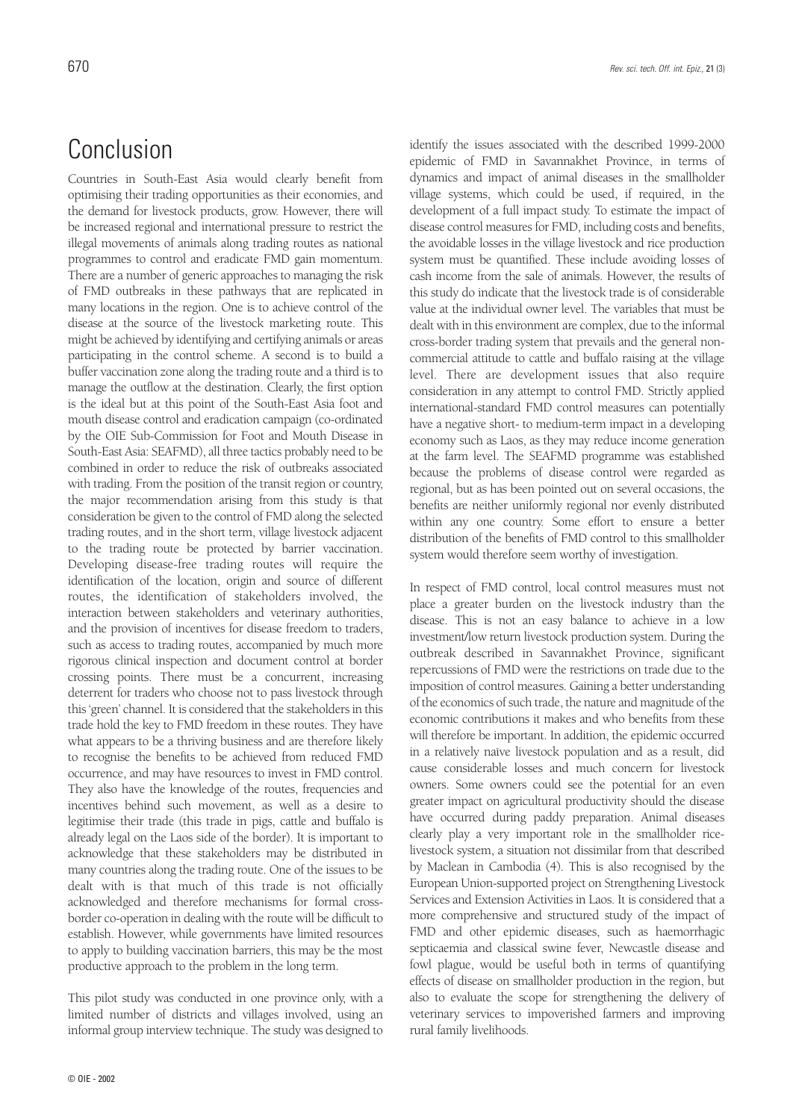## Conclusion

Countries in South-East Asia would clearly benefit from optimising their trading opportunities as their economies, and the demand for livestock products, grow. However, there will be increased regional and international pressure to restrict the illegal movements of animals along trading routes as national programmes to control and eradicate FMD gain momentum. There are a number of generic approaches to managing the risk of FMD outbreaks in these pathways that are replicated in many locations in the region. One is to achieve control of the disease at the source of the livestock marketing route. This might be achieved by identifying and certifying animals or areas participating in the control scheme. A second is to build a buffer vaccination zone along the trading route and a third is to manage the outflow at the destination. Clearly, the first option is the ideal but at this point of the South-East Asia foot and mouth disease control and eradication campaign (co-ordinated by the OIE Sub-Commission for Foot and Mouth Disease in South-East Asia: SEAFMD), all three tactics probably need to be combined in order to reduce the risk of outbreaks associated with trading. From the position of the transit region or country, the major recommendation arising from this study is that consideration be given to the control of FMD along the selected trading routes, and in the short term, village livestock adjacent to the trading route be protected by barrier vaccination. Developing disease-free trading routes will require the identification of the location, origin and source of different routes, the identification of stakeholders involved, the interaction between stakeholders and veterinary authorities, and the provision of incentives for disease freedom to traders, such as access to trading routes, accompanied by much more rigorous clinical inspection and document control at border crossing points. There must be a concurrent, increasing deterrent for traders who choose not to pass livestock through this 'green' channel. It is considered that the stakeholders in this trade hold the key to FMD freedom in these routes. They have what appears to be a thriving business and are therefore likely to recognise the benefits to be achieved from reduced FMD occurrence, and may have resources to invest in FMD control. They also have the knowledge of the routes, frequencies and incentives behind such movement, as well as a desire to legitimise their trade (this trade in pigs, cattle and buffalo is already legal on the Laos side of the border). It is important to acknowledge that these stakeholders may be distributed in many countries along the trading route. One of the issues to be dealt with is that much of this trade is not officially acknowledged and therefore mechanisms for formal crossborder co-operation in dealing with the route will be difficult to establish. However, while governments have limited resources to apply to building vaccination barriers, this may be the most productive approach to the problem in the long term.

This pilot study was conducted in one province only, with a limited number of districts and villages involved, using an informal group interview technique. The study was designed to identify the issues associated with the described 1999-2000 epidemic of FMD in Savannakhet Province, in terms of dynamics and impact of animal diseases in the smallholder village systems, which could be used, if required, in the development of a full impact study. To estimate the impact of disease control measures for FMD, including costs and benefits, the avoidable losses in the village livestock and rice production system must be quantified. These include avoiding losses of cash income from the sale of animals. However, the results of this study do indicate that the livestock trade is of considerable value at the individual owner level. The variables that must be dealt with in this environment are complex, due to the informal cross-border trading system that prevails and the general noncommercial attitude to cattle and buffalo raising at the village level. There are development issues that also require consideration in any attempt to control FMD. Strictly applied international-standard FMD control measures can potentially have a negative short- to medium-term impact in a developing economy such as Laos, as they may reduce income generation at the farm level. The SEAFMD programme was established because the problems of disease control were regarded as regional, but as has been pointed out on several occasions, the benefits are neither uniformly regional nor evenly distributed within any one country. Some effort to ensure a better distribution of the benefits of FMD control to this smallholder system would therefore seem worthy of investigation.

In respect of FMD control, local control measures must not place a greater burden on the livestock industry than the disease. This is not an easy balance to achieve in a low investment/low return livestock production system. During the outbreak described in Savannakhet Province, significant repercussions of FMD were the restrictions on trade due to the imposition of control measures. Gaining a better understanding of the economics of such trade, the nature and magnitude of the economic contributions it makes and who benefits from these will therefore be important. In addition, the epidemic occurred in a relatively naïve livestock population and as a result, did cause considerable losses and much concern for livestock owners. Some owners could see the potential for an even greater impact on agricultural productivity should the disease have occurred during paddy preparation. Animal diseases clearly play a very important role in the smallholder ricelivestock system, a situation not dissimilar from that described by Maclean in Cambodia (4). This is also recognised by the European Union-supported project on Strengthening Livestock Services and Extension Activities in Laos. It is considered that a more comprehensive and structured study of the impact of FMD and other epidemic diseases, such as haemorrhagic septicaemia and classical swine fever, Newcastle disease and fowl plague, would be useful both in terms of quantifying effects of disease on smallholder production in the region, but also to evaluate the scope for strengthening the delivery of veterinary services to impoverished farmers and improving rural family livelihoods.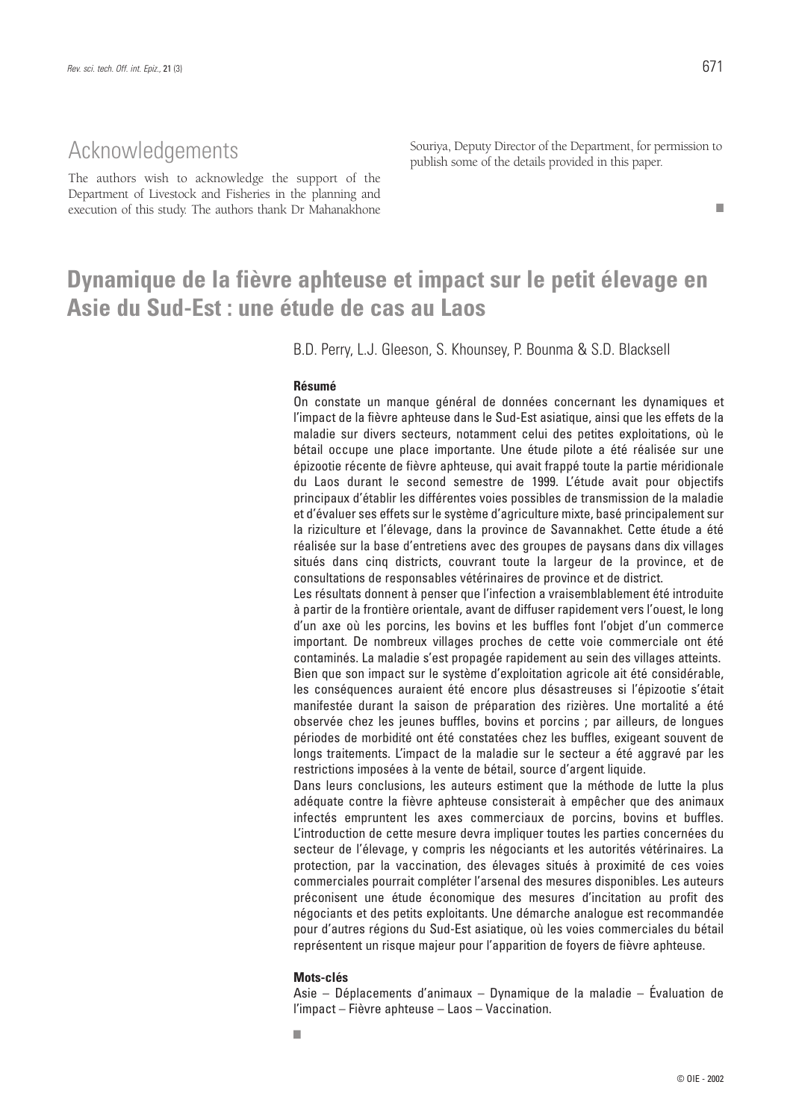■

### Acknowledgements

The authors wish to acknowledge the support of the Department of Livestock and Fisheries in the planning and execution of this study. The authors thank Dr Mahanakhone

Souriya, Deputy Director of the Department, for permission to publish some of the details provided in this paper.

## **Dynamique de la fièvre aphteuse et impact sur le petit élevage en Asie du Sud-Est : une étude de cas au Laos**

B.D. Perry, L.J. Gleeson, S. Khounsey, P. Bounma & S.D. Blacksell

#### **Résumé**

On constate un manque général de données concernant les dynamiques et l'impact de la fièvre aphteuse dans le Sud-Est asiatique, ainsi que les effets de la maladie sur divers secteurs, notamment celui des petites exploitations, où le bétail occupe une place importante. Une étude pilote a été réalisée sur une épizootie récente de fièvre aphteuse, qui avait frappé toute la partie méridionale du Laos durant le second semestre de 1999. L'étude avait pour objectifs principaux d'établir les différentes voies possibles de transmission de la maladie et d'évaluer ses effets sur le système d'agriculture mixte, basé principalement sur la riziculture et l'élevage, dans la province de Savannakhet. Cette étude a été réalisée sur la base d'entretiens avec des groupes de paysans dans dix villages situés dans cinq districts, couvrant toute la largeur de la province, et de consultations de responsables vétérinaires de province et de district.

Les résultats donnent à penser que l'infection a vraisemblablement été introduite à partir de la frontière orientale, avant de diffuser rapidement vers l'ouest, le long d'un axe où les porcins, les bovins et les buffles font l'objet d'un commerce important. De nombreux villages proches de cette voie commerciale ont été contaminés. La maladie s'est propagée rapidement au sein des villages atteints. Bien que son impact sur le système d'exploitation agricole ait été considérable, les conséquences auraient été encore plus désastreuses si l'épizootie s'était manifestée durant la saison de préparation des rizières. Une mortalité a été observée chez les jeunes buffles, bovins et porcins ; par ailleurs, de longues périodes de morbidité ont été constatées chez les buffles, exigeant souvent de longs traitements. L'impact de la maladie sur le secteur a été aggravé par les restrictions imposées à la vente de bétail, source d'argent liquide.

Dans leurs conclusions, les auteurs estiment que la méthode de lutte la plus adéquate contre la fièvre aphteuse consisterait à empêcher que des animaux infectés empruntent les axes commerciaux de porcins, bovins et buffles. L'introduction de cette mesure devra impliquer toutes les parties concernées du secteur de l'élevage, y compris les négociants et les autorités vétérinaires. La protection, par la vaccination, des élevages situés à proximité de ces voies commerciales pourrait compléter l'arsenal des mesures disponibles. Les auteurs préconisent une étude économique des mesures d'incitation au profit des négociants et des petits exploitants. Une démarche analogue est recommandée pour d'autres régions du Sud-Est asiatique, où les voies commerciales du bétail représentent un risque majeur pour l'apparition de foyers de fièvre aphteuse.

#### **Mots-clés**

Asie – Déplacements d'animaux – Dynamique de la maladie – Évaluation de l'impact – Fièvre aphteuse – Laos – Vaccination.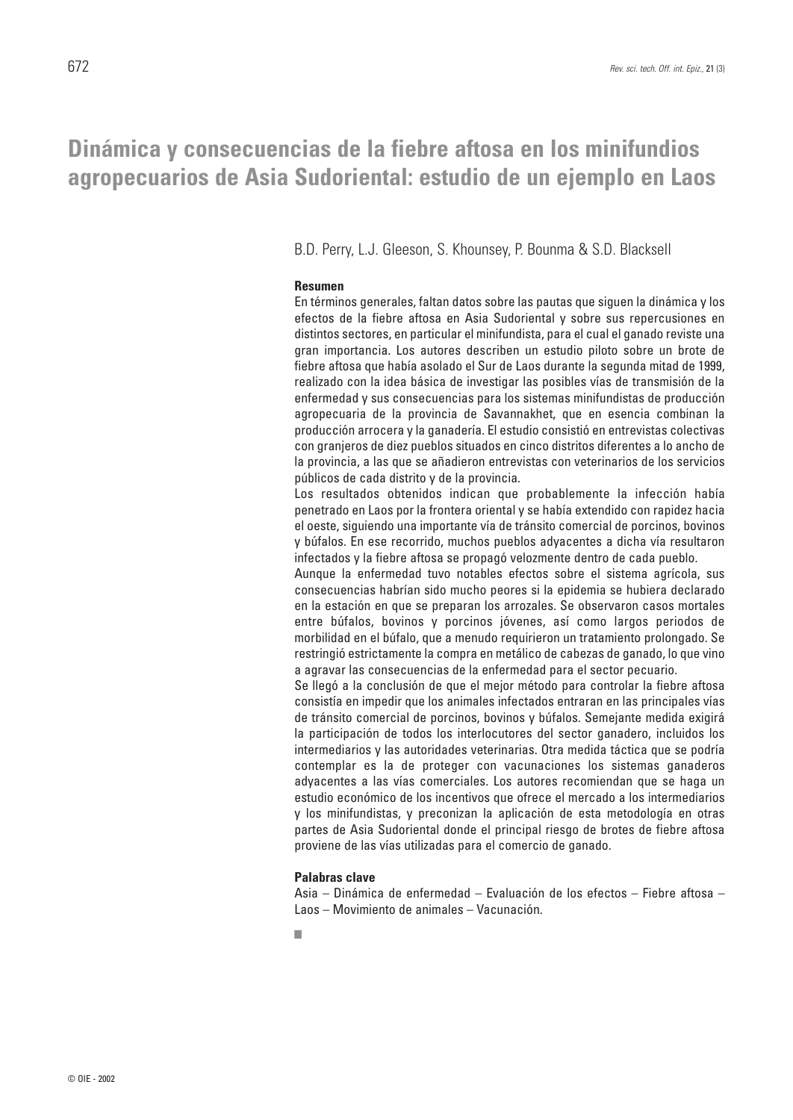### **Dinámica y consecuencias de la fiebre aftosa en los minifundios agropecuarios de Asia Sudoriental: estudio de un ejemplo en Laos**

B.D. Perry, L.J. Gleeson, S. Khounsey, P. Bounma & S.D. Blacksell

### **Resumen**

En términos generales, faltan datos sobre las pautas que siguen la dinámica y los efectos de la fiebre aftosa en Asia Sudoriental y sobre sus repercusiones en distintos sectores, en particular el minifundista, para el cual el ganado reviste una gran importancia. Los autores describen un estudio piloto sobre un brote de fiebre aftosa que había asolado el Sur de Laos durante la segunda mitad de 1999, realizado con la idea básica de investigar las posibles vías de transmisión de la enfermedad y sus consecuencias para los sistemas minifundistas de producción agropecuaria de la provincia de Savannakhet, que en esencia combinan la producción arrocera y la ganadería. El estudio consistió en entrevistas colectivas con granjeros de diez pueblos situados en cinco distritos diferentes a lo ancho de la provincia, a las que se añadieron entrevistas con veterinarios de los servicios públicos de cada distrito y de la provincia.

Los resultados obtenidos indican que probablemente la infección había penetrado en Laos por la frontera oriental y se había extendido con rapidez hacia el oeste, siguiendo una importante vía de tránsito comercial de porcinos, bovinos y búfalos. En ese recorrido, muchos pueblos adyacentes a dicha vía resultaron infectados y la fiebre aftosa se propagó velozmente dentro de cada pueblo.

Aunque la enfermedad tuvo notables efectos sobre el sistema agrícola, sus consecuencias habrían sido mucho peores si la epidemia se hubiera declarado en la estación en que se preparan los arrozales. Se observaron casos mortales entre búfalos, bovinos y porcinos jóvenes, así como largos periodos de morbilidad en el búfalo, que a menudo requirieron un tratamiento prolongado. Se restringió estrictamente la compra en metálico de cabezas de ganado, lo que vino a agravar las consecuencias de la enfermedad para el sector pecuario.

Se llegó a la conclusión de que el mejor método para controlar la fiebre aftosa consistía en impedir que los animales infectados entraran en las principales vías de tránsito comercial de porcinos, bovinos y búfalos. Semejante medida exigirá la participación de todos los interlocutores del sector ganadero, incluidos los intermediarios y las autoridades veterinarias. Otra medida táctica que se podría contemplar es la de proteger con vacunaciones los sistemas ganaderos adyacentes a las vías comerciales. Los autores recomiendan que se haga un estudio económico de los incentivos que ofrece el mercado a los intermediarios y los minifundistas, y preconizan la aplicación de esta metodología en otras partes de Asia Sudoriental donde el principal riesgo de brotes de fiebre aftosa proviene de las vías utilizadas para el comercio de ganado.

#### **Palabras clave**

Asia – Dinámica de enfermedad – Evaluación de los efectos – Fiebre aftosa – Laos – Movimiento de animales – Vacunación.

■